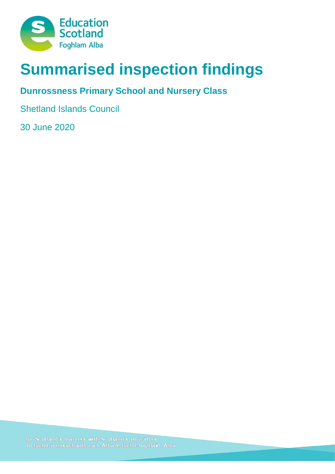

# **Summarised inspection findings**

## **Dunrossness Primary School and Nursery Class**

Shetland Islands Council

30 June 2020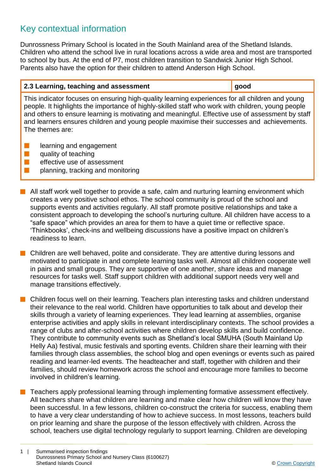## Key contextual information

Dunrossness Primary School is located in the South Mainland area of the Shetland Islands. Children who attend the school live in rural locations across a wide area and most are transported to school by bus. At the end of P7, most children transition to Sandwick Junior High School. Parents also have the option for their children to attend Anderson High School.

#### **2.3 Learning, teaching and assessment good**

This indicator focuses on ensuring high-quality learning experiences for all children and young people. It highlights the importance of highly-skilled staff who work with children, young people and others to ensure learning is motivating and meaningful. Effective use of assessment by staff and learners ensures children and young people maximise their successes and achievements. The themes are:

- $\blacksquare$  learning and engagement
- $\blacksquare$  quality of teaching
- $\blacksquare$  effective use of assessment
- $\blacksquare$  planning, tracking and monitoring
- $\blacksquare$  All staff work well together to provide a safe, calm and nurturing learning environment which creates a very positive school ethos. The school community is proud of the school and supports events and activities regularly. All staff promote positive relationships and take a consistent approach to developing the school's nurturing culture. All children have access to a "safe space" which provides an area for them to have a quiet time or reflective space. 'Thinkbooks', check-ins and wellbeing discussions have a positive impact on children's readiness to learn.
- **n** Children are well behaved, polite and considerate. They are attentive during lessons and motivated to participate in and complete learning tasks well. Almost all children cooperate well in pairs and small groups. They are supportive of one another, share ideas and manage resources for tasks well. Staff support children with additional support needs very well and manage transitions effectively.
- n Children focus well on their learning. Teachers plan interesting tasks and children understand their relevance to the real world. Children have opportunities to talk about and develop their skills through a variety of learning experiences. They lead learning at assemblies, organise enterprise activities and apply skills in relevant interdisciplinary contexts. The school provides a range of clubs and after-school activities where children develop skills and build confidence. They contribute to community events such as Shetland's local SMUHA (South Mainland Up Helly Aa) festival, music festivals and sporting events. Children share their learning with their families through class assemblies, the school blog and open evenings or events such as paired reading and learner-led events. The headteacher and staff, together with children and their families, should review homework across the school and encourage more families to become involved in children's learning.
- Teachers apply professional learning through implementing formative assessment effectively. All teachers share what children are learning and make clear how children will know they have been successful. In a few lessons, children co-construct the criteria for success, enabling them to have a very clear understanding of how to achieve success. In most lessons, teachers build on prior learning and share the purpose of the lesson effectively with children. Across the school, teachers use digital technology regularly to support learning. Children are developing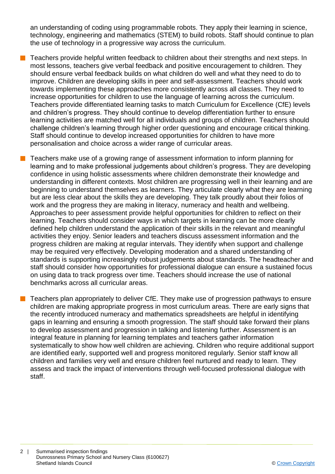an understanding of coding using programmable robots. They apply their learning in science, technology, engineering and mathematics (STEM) to build robots. Staff should continue to plan the use of technology in a progressive way across the curriculum.

- n Teachers provide helpful written feedback to children about their strengths and next steps. In most lessons, teachers give verbal feedback and positive encouragement to children. They should ensure verbal feedback builds on what children do well and what they need to do to improve. Children are developing skills in peer and self-assessment. Teachers should work towards implementing these approaches more consistently across all classes. They need to increase opportunities for children to use the language of learning across the curriculum. Teachers provide differentiated learning tasks to match Curriculum for Excellence (CfE) levels and children's progress. They should continue to develop differentiation further to ensure learning activities are matched well for all individuals and groups of children. Teachers should challenge children's learning through higher order questioning and encourage critical thinking. Staff should continue to develop increased opportunities for children to have more personalisation and choice across a wider range of curricular areas.
- n Teachers make use of a growing range of assessment information to inform planning for learning and to make professional judgements about children's progress. They are developing confidence in using holistic assessments where children demonstrate their knowledge and understanding in different contexts. Most children are progressing well in their learning and are beginning to understand themselves as learners. They articulate clearly what they are learning but are less clear about the skills they are developing. They talk proudly about their folios of work and the progress they are making in literacy, numeracy and health and wellbeing. Approaches to peer assessment provide helpful opportunities for children to reflect on their learning. Teachers should consider ways in which targets in learning can be more clearly defined help children understand the application of their skills in the relevant and meaningful activities they enjoy. Senior leaders and teachers discuss assessment information and the progress children are making at regular intervals. They identify when support and challenge may be required very effectively. Developing moderation and a shared understanding of standards is supporting increasingly robust judgements about standards. The headteacher and staff should consider how opportunities for professional dialogue can ensure a sustained focus on using data to track progress over time. Teachers should increase the use of national benchmarks across all curricular areas.
	- n Teachers plan appropriately to deliver CfE. They make use of progression pathways to ensure children are making appropriate progress in most curriculum areas. There are early signs that the recently introduced numeracy and mathematics spreadsheets are helpful in identifying gaps in learning and ensuring a smooth progression. The staff should take forward their plans to develop assessment and progression in talking and listening further. Assessment is an integral feature in planning for learning templates and teachers gather information systematically to show how well children are achieving. Children who require additional support are identified early, supported well and progress monitored regularly. Senior staff know all children and families very well and ensure children feel nurtured and ready to learn. They assess and track the impact of interventions through well-focused professional dialogue with staff.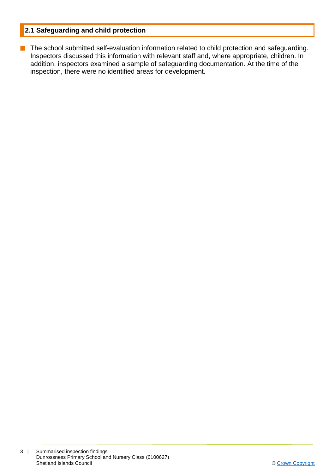### **2.1 Safeguarding and child protection**

**n** The school submitted self-evaluation information related to child protection and safeguarding. Inspectors discussed this information with relevant staff and, where appropriate, children. In addition, inspectors examined a sample of safeguarding documentation. At the time of the inspection, there were no identified areas for development.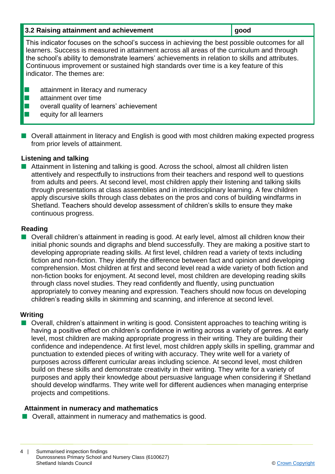| 3.2 Raising attainment and achievement                                                                                                                                                                                                                                                                                                                                                                                  | good |
|-------------------------------------------------------------------------------------------------------------------------------------------------------------------------------------------------------------------------------------------------------------------------------------------------------------------------------------------------------------------------------------------------------------------------|------|
| This indicator focuses on the school's success in achieving the best possible outcomes for all<br>learners. Success is measured in attainment across all areas of the curriculum and through<br>the school's ability to demonstrate learners' achievements in relation to skills and attributes.<br>Continuous improvement or sustained high standards over time is a key feature of this<br>indicator. The themes are: |      |
| attainment in literacy and numeracy<br>attainment over time<br>overall quality of learners' achievement<br>equity for all learners                                                                                                                                                                                                                                                                                      |      |

■ Overall attainment in literacy and English is good with most children making expected progress from prior levels of attainment.

#### **Listening and talking**

 $\blacksquare$  Attainment in listening and talking is good. Across the school, almost all children listen attentively and respectfully to instructions from their teachers and respond well to questions from adults and peers. At second level, most children apply their listening and talking skills through presentations at class assemblies and in interdisciplinary learning. A few children apply discursive skills through class debates on the pros and cons of building windfarms in Shetland. Teachers should develop assessment of children's skills to ensure they make continuous progress.

#### **Reading**

■ Overall children's attainment in reading is good. At early level, almost all children know their initial phonic sounds and digraphs and blend successfully. They are making a positive start to developing appropriate reading skills. At first level, children read a variety of texts including fiction and non-fiction. They identify the difference between fact and opinion and developing comprehension. Most children at first and second level read a wide variety of both fiction and non-fiction books for enjoyment. At second level, most children are developing reading skills through class novel studies. They read confidently and fluently, using punctuation appropriately to convey meaning and expression. Teachers should now focus on developing children's reading skills in skimming and scanning, and inference at second level.

#### **Writing**

■ Overall, children's attainment in writing is good. Consistent approaches to teaching writing is having a positive effect on children's confidence in writing across a variety of genres. At early level, most children are making appropriate progress in their writing. They are building their confidence and independence. At first level, most children apply skills in spelling, grammar and punctuation to extended pieces of writing with accuracy. They write well for a variety of purposes across different curricular areas including science. At second level, most children build on these skills and demonstrate creativity in their writing. They write for a variety of purposes and apply their knowledge about persuasive language when considering if Shetland should develop windfarms. They write well for different audiences when managing enterprise projects and competitions.

#### **Attainment in numeracy and mathematics**

 $\blacksquare$  Overall, attainment in numeracy and mathematics is good.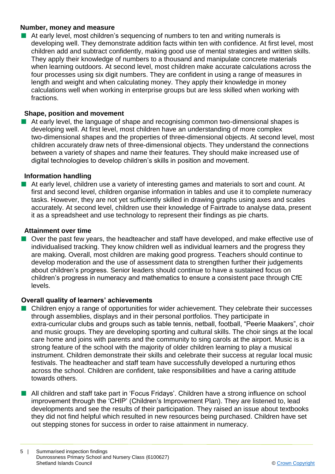#### **Number, money and measure**

 $\blacksquare$  At early level, most children's sequencing of numbers to ten and writing numerals is developing well. They demonstrate addition facts within ten with confidence. At first level, most children add and subtract confidently, making good use of mental strategies and written skills. They apply their knowledge of numbers to a thousand and manipulate concrete materials when learning outdoors. At second level, most children make accurate calculations across the four processes using six digit numbers. They are confident in using a range of measures in length and weight and when calculating money. They apply their knowledge in money calculations well when working in enterprise groups but are less skilled when working with fractions.

#### **Shape, position and movement**

At early level, the language of shape and recognising common two-dimensional shapes is developing well. At first level, most children have an understanding of more complex two-dimensional shapes and the properties of three-dimensional objects. At second level, most children accurately draw nets of three-dimensional objects. They understand the connections between a variety of shapes and name their features. They should make increased use of digital technologies to develop children's skills in position and movement.

#### **Information handling**

n At early level, children use a variety of interesting games and materials to sort and count. At first and second level, children organise information in tables and use it to complete numeracy tasks. However, they are not yet sufficiently skilled in drawing graphs using axes and scales accurately. At second level, children use their knowledge of Fairtrade to analyse data, present it as a spreadsheet and use technology to represent their findings as pie charts.

#### **Attainment over time**

Over the past few years, the headteacher and staff have developed, and make effective use of individualised tracking. They know children well as individual learners and the progress they are making. Overall, most children are making good progress. Teachers should continue to develop moderation and the use of assessment data to strengthen further their judgements about children's progress. Senior leaders should continue to have a sustained focus on children's progress in numeracy and mathematics to ensure a consistent pace through CfE levels.

#### **Overall quality of learners' achievements**

- Children enjoy a range of opportunities for wider achievement. They celebrate their successes through assemblies, displays and in their personal portfolios. They participate in extra-curricular clubs and groups such as table tennis, netball, football, "Peerie Maakers", choir and music groups. They are developing sporting and cultural skills. The choir sings at the local care home and joins with parents and the community to sing carols at the airport. Music is a strong feature of the school with the majority of older children learning to play a musical instrument. Children demonstrate their skills and celebrate their success at regular local music festivals. The headteacher and staff team have successfully developed a nurturing ethos across the school. Children are confident, take responsibilities and have a caring attitude towards others.
- All children and staff take part in 'Focus Fridays'. Children have a strong influence on school improvement through the 'CHIP' (Children's Improvement Plan). They are listened to, lead developments and see the results of their participation. They raised an issue about textbooks they did not find helpful which resulted in new resources being purchased. Children have set out stepping stones for success in order to raise attainment in numeracy.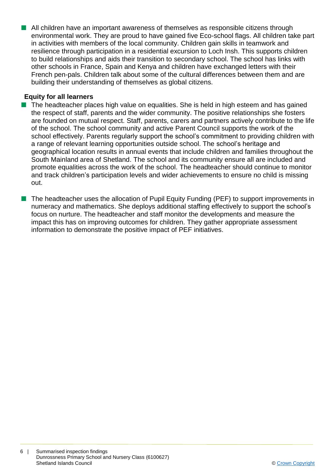n All children have an important awareness of themselves as responsible citizens through environmental work. They are proud to have gained five Eco-school flags. All children take part in activities with members of the local community. Children gain skills in teamwork and resilience through participation in a residential excursion to Loch Insh. This supports children to build relationships and aids their transition to secondary school. The school has links with other schools in France, Spain and Kenya and children have exchanged letters with their French pen-pals. Children talk about some of the cultural differences between them and are building their understanding of themselves as global citizens.

#### **Equity for all learners**

- $\blacksquare$  The headteacher places high value on equalities. She is held in high esteem and has gained the respect of staff, parents and the wider community. The positive relationships she fosters are founded on mutual respect. Staff, parents, carers and partners actively contribute to the life of the school. The school community and active Parent Council supports the work of the school effectively. Parents regularly support the school's commitment to providing children with a range of relevant learning opportunities outside school. The school's heritage and geographical location results in annual events that include children and families throughout the South Mainland area of Shetland. The school and its community ensure all are included and promote equalities across the work of the school. The headteacher should continue to monitor and track children's participation levels and wider achievements to ensure no child is missing out.
- The headteacher uses the allocation of Pupil Equity Funding (PEF) to support improvements in numeracy and mathematics. She deploys additional staffing effectively to support the school's focus on nurture. The headteacher and staff monitor the developments and measure the impact this has on improving outcomes for children. They gather appropriate assessment information to demonstrate the positive impact of PEF initiatives.